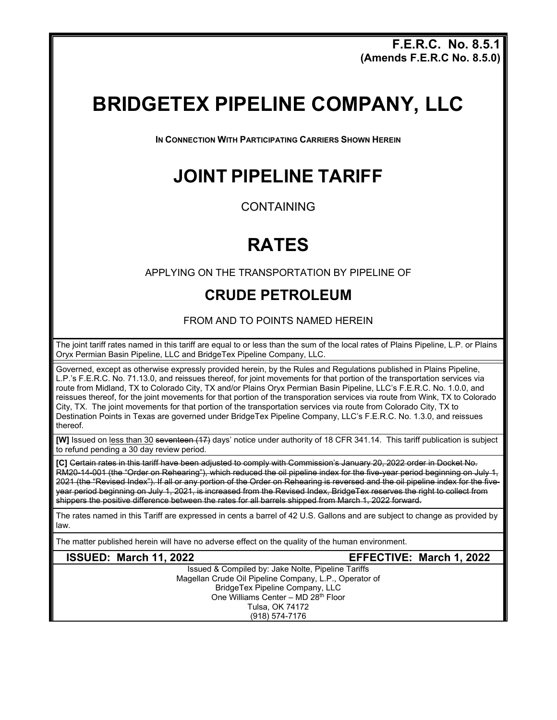**F.E.R.C. No. 8.5.1 (Amends F.E.R.C No. 8.5.0)** 

# **BRIDGETEX PIPELINE COMPANY, LLC**

**IN CONNECTION WITH PARTICIPATING CARRIERS SHOWN HEREIN**

### **JOINT PIPELINE TARIFF**

CONTAINING

## **RATES**

APPLYING ON THE TRANSPORTATION BY PIPELINE OF

#### **CRUDE PETROLEUM**

FROM AND TO POINTS NAMED HEREIN

The joint tariff rates named in this tariff are equal to or less than the sum of the local rates of Plains Pipeline, L.P. or Plains Oryx Permian Basin Pipeline, LLC and BridgeTex Pipeline Company, LLC.

Governed, except as otherwise expressly provided herein, by the Rules and Regulations published in Plains Pipeline, L.P.'s F.E.R.C. No. 71.13.0, and reissues thereof, for joint movements for that portion of the transportation services via route from Midland, TX to Colorado City, TX and/or Plains Oryx Permian Basin Pipeline, LLC's F.E.R.C. No. 1.0.0, and reissues thereof, for the joint movements for that portion of the transporation services via route from Wink, TX to Colorado City, TX. The joint movements for that portion of the transportation services via route from Colorado City, TX to Destination Points in Texas are governed under BridgeTex Pipeline Company, LLC's F.E.R.C. No. 1.3.0, and reissues thereof.

**[W]** Issued on less than 30 seventeen (17) days' notice under authority of 18 CFR 341.14. This tariff publication is subject to refund pending a 30 day review period.

**[C]** Certain rates in this tariff have been adjusted to comply with Commission's January 20, 2022 order in Docket No. -<br>RM20-14-001 (the "Order on Rehearing"), which reduced the oil pipeline index for the five-year period beginning on July 1, 2021 (the "Revised Index"). If all or any portion of the Order on Rehearing is reversed and the oil pipeline index for the fiveyear period beginning on July 1, 2021, is increased from the Revised Index, BridgeTex reserves the right to collect from shippers the positive difference between the rates for all barrels shipped from March 1, 2022 forward.

The rates named in this Tariff are expressed in cents a barrel of 42 U.S. Gallons and are subject to change as provided by law.

The matter published herein will have no adverse effect on the quality of the human environment.

**ISSUED: March 11, 2022 EFFECTIVE: March 1, 2022**

Issued & Compiled by: Jake Nolte, Pipeline Tariffs Magellan Crude Oil Pipeline Company, L.P., Operator of BridgeTex Pipeline Company, LLC One Williams Center – MD 28<sup>th</sup> Floor Tulsa, OK 74172 (918) 574-7176